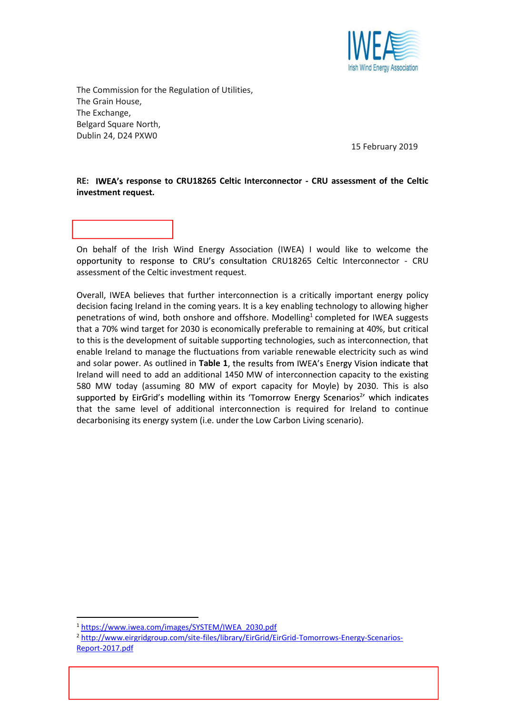

The Commission for the Regulation of Utilities, The Grain House, The Exchange, Belgard Square North, Dublin 24, D24 PXW0

Dear Ms. Sadowska,

15 February 2019

## RE: IWEA's response to CRU18265 Celtic Interconnector - CRU assessment of the Celtic investment request.

On behalf of the Irish Wind Energy Association (IWEA) I would like to welcome the opportunity to response to CRU's consultation CRU18265 Celtic Interconnector - CRU assessment of the Celtic investment request.

Overall, IWEA believes that further interconnection is a critically important energy policy decision facing Ireland in the coming years. It is a key enabling technology to allowing higher penetrations of wind, both onshore and offshore. Modelling<sup>1</sup> completed for IWEA suggests that a 70% wind target for 2030 is economically preferable to remaining at 40%, but critical to this is the development of suitable supporting technologies, such as interconnection, that enable Ireland to manage the fluctuations from variable renewable electricity such as wind and solar power. As outlined in Table 1, the results from IWEA's Energy Vision indicate that Ireland will need to add an additional 1450 MW of interconnection capacity to the existing 580 MW today (assuming 80 MW of export capacity for Moyle) by 2030. This is also supported by EirGrid's modelling within its 'Tomorrow Energy Scenarios<sup>2</sup>' which indicates that the same level of additional interconnection is required for Ireland to continue decarbonising its energy system (i.e. under the Low Carbon Living scenario).

[Type here] IWEA Registered Office: Sycamore House, Millennium Park. Osberstown, Naas, Co. Kildare. Ireland.

<sup>&</sup>lt;sup>1</sup> https://www.iwea.com/images/SYSTEM/IWEA\_2030.pdf<br><sup>2</sup> http://www.eirgridgroup.com/site-files/library/EirGrid/EirGrid-Tomorrows-Energy-Scenarios-Report-2017.pdf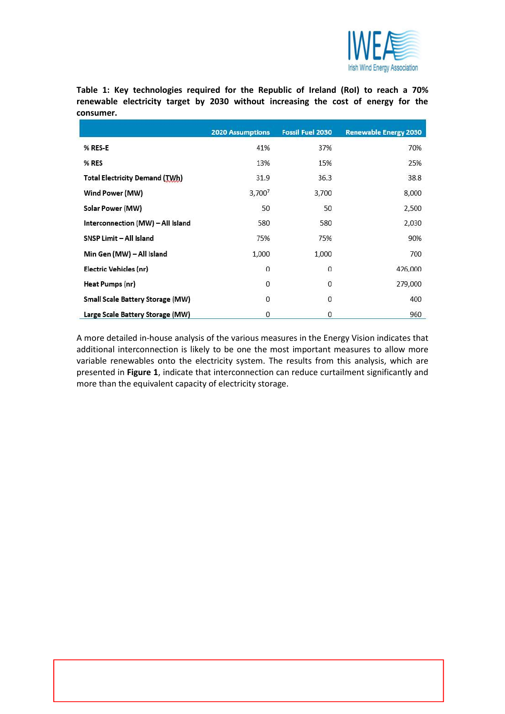

Table 1: Key technologies required for the Republic of Ireland (RoI) to reach a 70% renewable electricity target by 2030 without increasing the cost of energy for the consumer.

|                                         | <b>2020 Assumptions</b> | <b>Fossil Fuel 2030</b> | <b>Renewable Energy 2030</b> |
|-----------------------------------------|-------------------------|-------------------------|------------------------------|
| % RES-E                                 | 41%                     | 37%                     | 70%                          |
| % RES                                   | 13%                     | 15%                     | 25%                          |
| <b>Total Electricity Demand (TWh)</b>   | 31.9                    | 36.3                    | 38.8                         |
| Wind Power (MW)                         | 3,7007                  | 3,700                   | 8,000                        |
| Solar Power (MW)                        | 50                      | 50                      | 2,500                        |
| Interconnection (MW) - All Island       | 580                     | 580                     | 2,030                        |
| SNSP Limit - All Island                 | 75%                     | 75%                     | 90%                          |
| Min Gen (MW) – All Island               | 1,000                   | 1,000                   | 700                          |
| Electric Vehicles (nr)                  | $\mathbf{0}$            | $\mathbf 0$             | 426,000                      |
| <b>Heat Pumps (nr)</b>                  | $\overline{0}$          | $\mathbf{0}$            | 279,000                      |
| <b>Small Scale Battery Storage (MW)</b> | 0                       | 0                       | 400                          |
| Large Scale Battery Storage (MW)        | 0                       | $\mathbf{0}$            | 960                          |

A more detailed in-house analysis of the various measures in the Energy Vision indicates that additional interconnection is likely to be one the most important measures to allow more variable renewables onto the electricity system. The results from this analysis, which are presented in Figure 1, indicate that interconnection can reduce curtailment significantly and more than the equivalent capacity of electricity storage.

[Type here] IWEA Registered Office: Sycamore House, Millennium Park. Osberstown, Naas, Co. Kildare. Ireland.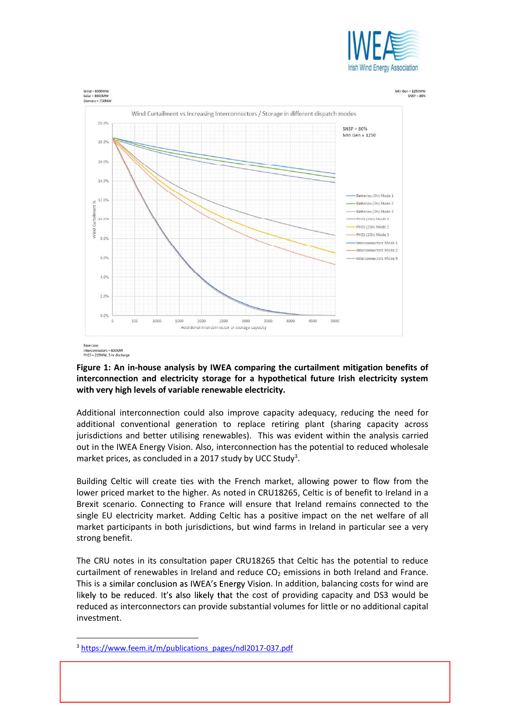





## Figure 1: An in-house analysis by IWEA comparing the curtailment mitigation benefits of interconnection and electricity storage for a hypothetical future Irish electricity system with very high levels of variable renewable electricity.

Additional interconnection could also improve capacity adequacy, reducing the need for additional conventional generation to replace retiring plant (sharing capacity across jurisdictions and better utilising renewables). This was evident within the analysis carried out in the IWEA Energy Vision. Also, interconnection has the potential to reduced wholesale market prices, as concluded in a 2017 study by UCC Study<sup>3</sup>.

. Building Celtic will create ties with the French market, allowing power to flow from the lower priced market to the higher. As noted in CRU18265, Celtic is of benefit to Ireland in a Brexit scenario. Connecting to France will ensure that Ireland remains connected to the single EU electricity market. Adding Celtic has a positive impact on the net welfare of all market participants in both jurisdictions, but wind farms in Ireland in particular see a very strong benefit.

The CRU notes in its consultation paper CRU18265 that Celtic has the potential to reduce curtailment of renewables in Ireland and reduce  $CO<sub>2</sub>$  emissions in both Ireland and France. This is a similar conclusion as IWEA's Energy Vision. In addition, balancing costs for wind are likely to be reduced. It's also likely that the cost of providing capacity and DS3 would be reduced as interconnectors can provide substantial volumes for little or no additional capital investment.

[Type here] IWEA Registered Office: Sycamore House, Millennium Park. Osberstown, Naas, Co. Kildare. Ireland.

<sup>&</sup>lt;sup>3</sup> https://www.feem.it/m/publications\_pages/ndl2017-037.pdf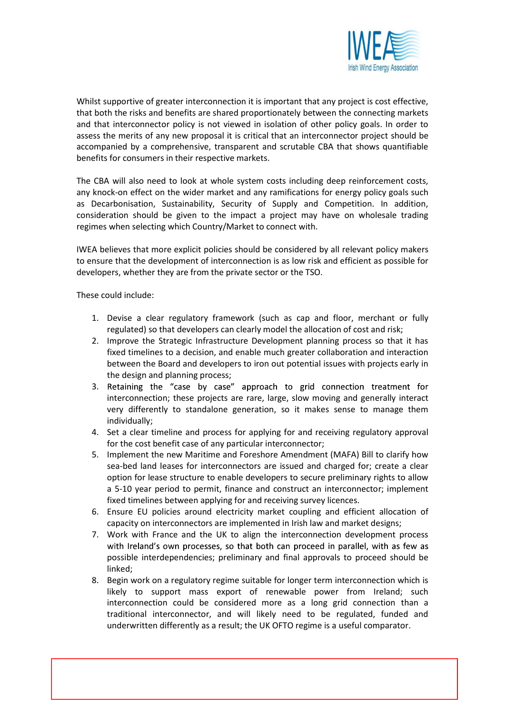

Whilst supportive of greater interconnection it is important that any project is cost effective, that both the risks and benefits are shared proportionately between the connecting markets and that interconnector policy is not viewed in isolation of other policy goals. In order to assess the merits of any new proposal it is critical that an interconnector project should be accompanied by a comprehensive, transparent and scrutable CBA that shows quantifiable benefits for consumers in their respective markets.

The CBA will also need to look at whole system costs including deep reinforcement costs, any knock-on effect on the wider market and any ramifications for energy policy goals such as Decarbonisation, Sustainability, Security of Supply and Competition. In addition, consideration should be given to the impact a project may have on wholesale trading regimes when selecting which Country/Market to connect with.

IWEA believes that more explicit policies should be considered by all relevant policy makers to ensure that the development of interconnection is as low risk and efficient as possible for developers, whether they are from the private sector or the TSO.

These could include:

- 1. Devise a clear regulatory framework (such as cap and floor, merchant or fully regulated) so that developers can clearly model the allocation of cost and risk;
- 2. Improve the Strategic Infrastructure Development planning process so that it has fixed timelines to a decision, and enable much greater collaboration and interaction between the Board and developers to iron out potential issues with projects early in the design and planning process;
- 3. Retaining the "case by case" approach to grid connection treatment for interconnection; these projects are rare, large, slow moving and generally interact very differently to standalone generation, so it makes sense to manage them individually;
- 4. Set a clear timeline and process for applying for and receiving regulatory approval for the cost benefit case of any particular interconnector;
- 5. Implement the new Maritime and Foreshore Amendment (MAFA) Bill to clarify how sea-bed land leases for interconnectors are issued and charged for; create a clear option for lease structure to enable developers to secure preliminary rights to allow a 5-10 year period to permit, finance and construct an interconnector; implement fixed timelines between applying for and receiving survey licences.
- 6. Ensure EU policies around electricity market coupling and efficient allocation of capacity on interconnectors are implemented in Irish law and market designs;
- 7. Work with France and the UK to align the interconnection development process with Ireland's own processes, so that both can proceed in parallel, with as few as possible interdependencies; preliminary and final approvals to proceed should be linked;
- 8. Begin work on a regulatory regime suitable for longer term interconnection which is likely to support mass export of renewable power from Ireland; such interconnection could be considered more as a long grid connection than a traditional interconnector, and will likely need to be regulated, funded and underwritten differently as a result; the UK OFTO regime is a useful comparator.

[Type here] IWEA Registered Office: Sycamore House, Millennium Park. Osberstown, Naas, Co. Kildare. Ireland.